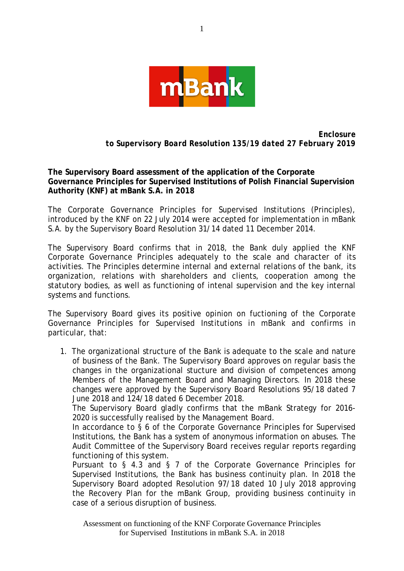

*Enclosure to Supervisory Board Resolution 135/19 dated 27 February 2019*

**The Supervisory Board assessment of the application of the Corporate Governance Principles for Supervised Institutions of Polish Financial Supervision Authority (KNF) at mBank S.A. in 2018** 

The Corporate Governance Principles for Supervised Institutions (Principles), introduced by the KNF on 22 July 2014 were accepted for implementation in mBank S.A. by the Supervisory Board Resolution 31/14 dated 11 December 2014.

The Supervisory Board confirms that in 2018, the Bank duly applied the KNF Corporate Governance Principles adequately to the scale and character of its activities. The Principles determine internal and external relations of the bank, its organization, relations with shareholders and clients, cooperation among the statutory bodies, as well as functioning of intenal supervision and the key internal systems and functions.

The Supervisory Board gives its positive opinion on fuctioning of the Corporate Governance Principles for Supervised Institutions in mBank and confirms in particular, that:

1. The organizational structure of the Bank is adequate to the scale and nature of business of the Bank. The Supervisory Board approves on regular basis the changes in the organizational stucture and division of competences among Members of the Management Board and Managing Directors. In 2018 these changes were approved by the Supervisory Board Resolutions 95/18 dated 7 June 2018 and 124/18 dated 6 December 2018.

The Supervisory Board gladly confirms that the mBank Strategy for 2016- 2020 is successfully realised by the Management Board.

In accordance to § 6 of the Corporate Governance Principles for Supervised Institutions, the Bank has a system of anonymous information on abuses. The Audit Committee of the Supervisory Board receives regular reports regarding functioning of this system.

Pursuant to § 4.3 and § 7 of the Corporate Governance Principles for Supervised Institutions, the Bank has business continuity plan. In 2018 the Supervisory Board adopted Resolution 97/18 dated 10 July 2018 approving the Recovery Plan for the mBank Group, providing business continuity in case of a serious disruption of business.

Assessment on functioning of the KNF Corporate Governance Principles for Supervised Institutions in mBank S.A. in 2018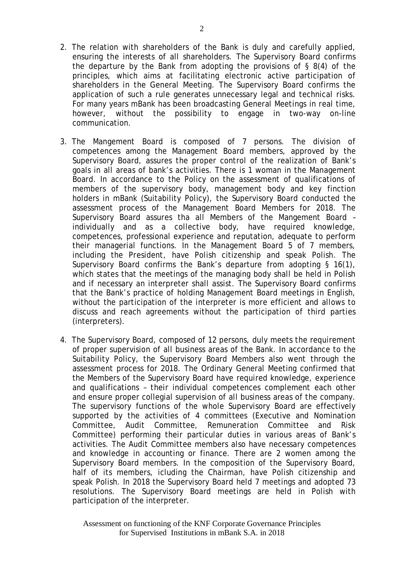- 2. The relation with shareholders of the Bank is duly and carefully applied, ensuring the interests of all shareholders. The Supervisory Board confirms the departure by the Bank from adopting the provisions of § 8(4) of the principles, which aims at facilitating electronic active participation of shareholders in the General Meeting. The Supervisory Board confirms the application of such a rule generates unnecessary legal and technical risks. For many years mBank has been broadcasting General Meetings in real time, however, without the possibility to engage in two-way on-line communication.
- 3. The Mangement Board is composed of 7 persons. The division of competences among the Management Board members, approved by the Supervisory Board, assures the proper control of the realization of Bank's goals in all areas of bank's activities. There is 1 woman in the Management Board. In accordance to the Policy on the assessment of qualifications of members of the supervisory body, management body and key finction holders in mBank (Suitability Policy), the Supervisory Board conducted the assessment process of the Management Board Members for 2018. The Supervisory Board assures tha all Members of the Mangement Board – individually and as a collective body, have required knowledge, competences, professional experience and reputation, adequate to perform their managerial functions. In the Management Board 5 of 7 members, including the President, have Polish citizenship and speak Polish. The Supervisory Board confirms the Bank's departure from adopting § 16(1), which states that the meetings of the managing body shall be held in Polish and if necessary an interpreter shall assist. The Supervisory Board confirms that the Bank's practice of holding Management Board meetings in English, without the participation of the interpreter is more efficient and allows to discuss and reach agreements without the participation of third parties (interpreters).
- 4. The Supervisory Board, composed of 12 persons, duly meets the requirement of proper supervision of all business areas of the Bank. In accordance to the Suitability Policy, the Supervisory Board Members also went through the assessment process for 2018. The Ordinary General Meeting confirmed that the Members of the Supervisory Board have required knowledge, experience and qualifications – their individual competences complement each other and ensure proper collegial supervision of all business areas of the company. The supervisory functions of the whole Supervisory Board are effectively supported by the activities of 4 committees (Executive and Nomination Committee, Audit Committee, Remuneration Committee and Risk Committee) performing their particular duties in various areas of Bank's activities. The Audit Committee members also have necessary competences and knowledge in accounting or finance. There are 2 women among the Supervisory Board members. In the composition of the Supervisory Board, half of its members, icluding the Chairman, have Polish citizenship and speak Polish. In 2018 the Supervisory Board held 7 meetings and adopted 73 resolutions. The Supervisory Board meetings are held in Polish with participation of the interpreter.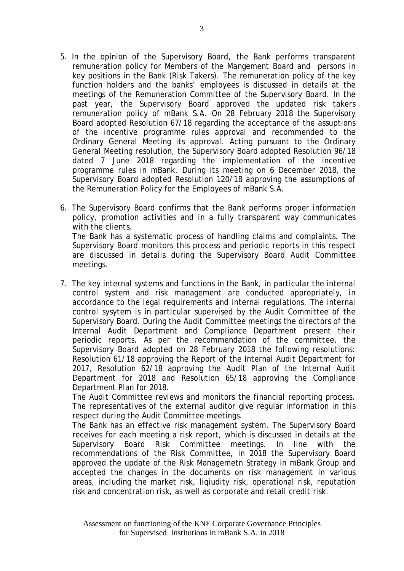- 5. In the opinion of the Supervisory Board, the Bank performs transparent remuneration policy for Members of the Mangement Board and persons in key positions in the Bank (Risk Takers). The remuneration policy of the key function holders and the banks' employees is discussed in details at the meetings of the Remuneration Committee of the Supervisory Board. In the past year, the Supervisory Board approved the updated risk takers remuneration policy of mBank S.A. On 28 February 2018 the Supervisory Board adopted Resolution 67/18 regarding the acceptance of the assuptions of the incentive programme rules approval and recommended to the Ordinary General Meeting its approval. Acting pursuant to the Ordinary General Meeting resolution, the Supervisory Board adopted Resolution 96/18 dated 7 June 2018 regarding the implementation of the incentive programme rules in mBank. During its meeting on 6 December 2018, the Supervisory Board adopted Resolution 120/18 approving the assumptions of the Remuneration Policy for the Employees of mBank S.A.
- 6. The Supervisory Board confirms that the Bank performs proper information policy, promotion activities and in a fully transparent way communicates with the clients. The Bank has a systematic process of handling claims and complaints. The Supervisory Board monitors this process and periodic reports in this respect are discussed in details during the Supervisory Board Audit Committee meetings.
- 7. The key internal systems and functions in the Bank, in particular the internal control system and risk management are conducted appropriately, in accordance to the legal requirements and internal regulations. The internal control sysytem is in particular supervised by the Audit Committee of the Supervisory Board. During the Audit Committee meetings the directors of the Internal Audit Department and Compliance Department present their periodic reports. As per the recommendation of the committee, the Supervisory Board adopted on 28 February 2018 the following resolutions: Resolution 61/18 approving the Report of the Internal Audit Department for 2017, Resolution 62/18 approving the Audit Plan of the Internal Audit Department for 2018 and Resolution 65/18 approving the Compliance Department Plan for 2018.

The Audit Committee reviews and monitors the financial reporting process. The representatives of the external auditor give regular information in this respect during the Audit Committee meetings.

The Bank has an effective risk management system. The Supervisory Board receives for each meeting a risk report, which is discussed in details at the Supervisory Board Risk Committee meetings. In line with the recommendations of the Risk Committee, in 2018 the Supervisory Board approved the update of the Risk Managemetn Strategy in mBank Group and accepted the changes in the documents on risk management in various areas, including the market risk, liqiudity risk, operational risk, reputation risk and concentration risk, as well as corporate and retail credit risk.